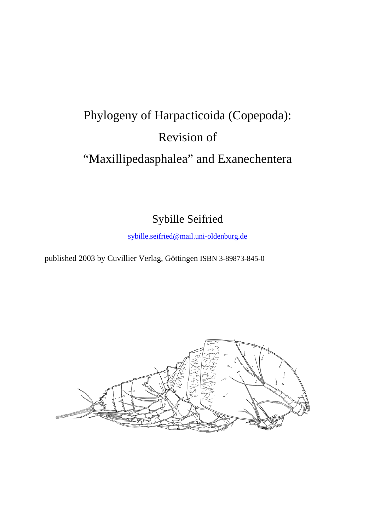## Phylogeny of Harpacticoida (Copepoda): Revision of "Maxillipedasphalea" and Exanechentera

Sybille Seifried

sybille.seifried@mail.uni-oldenburg.de

published 2003 by Cuvillier Verlag, Göttingen ISBN 3-89873-845-0

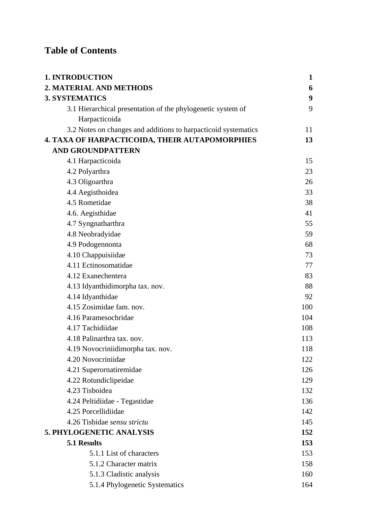## **Table of Contents**

| <b>1. INTRODUCTION</b>                                         | $\mathbf{1}$     |
|----------------------------------------------------------------|------------------|
| 2. MATERIAL AND METHODS                                        | 6                |
| <b>3. SYSTEMATICS</b>                                          | $\boldsymbol{9}$ |
| 3.1 Hierarchical presentation of the phylogenetic system of    | 9                |
| Harpacticoida                                                  |                  |
| 3.2 Notes on changes and additions to harpacticoid systematics | 11               |
| 4. TAXA OF HARPACTICOIDA, THEIR AUTAPOMORPHIES                 | 13               |
| <b>AND GROUNDPATTERN</b>                                       |                  |
| 4.1 Harpacticoida                                              | 15               |
| 4.2 Polyarthra                                                 | 23               |
| 4.3 Oligoarthra                                                | 26               |
| 4.4 Aegisthoidea                                               | 33               |
| 4.5 Rometidae                                                  | 38               |
| 4.6. Aegisthidae                                               | 41               |
| 4.7 Syngnatharthra                                             | 55               |
| 4.8 Neobradyidae                                               | 59               |
| 4.9 Podogennonta                                               | 68               |
| 4.10 Chappuisiidae                                             | 73               |
| 4.11 Ectinosomatidae                                           | 77               |
| 4.12 Exanechentera                                             | 83               |
| 4.13 Idyanthidimorpha tax. nov.                                | 88               |
| 4.14 Idyanthidae                                               | 92               |
| 4.15 Zosimidae fam. nov.                                       | 100              |
| 4.16 Paramesochridae                                           | 104              |
| 4.17 Tachidiidae                                               | 108              |
| 4.18 Palinarthra tax. nov.                                     | 113              |
| 4.19 Novocriniidimorpha tax. nov.                              | 118              |
| 4.20 Novocriniidae                                             | 122              |
| 4.21 Superornatiremidae                                        | 126              |
| 4.22 Rotundiclipeidae                                          | 129              |
| 4.23 Tisboidea                                                 | 132              |
| 4.24 Peltidiidae - Tegastidae                                  | 136              |
| 4.25 Porcellidiidae                                            | 142              |
| 4.26 Tisbidae sensu strictu                                    | 145              |
| 5. PHYLOGENETIC ANALYSIS                                       | 152              |
| 5.1 Results                                                    | 153              |
| 5.1.1 List of characters                                       | 153              |
| 5.1.2 Character matrix                                         | 158              |
| 5.1.3 Cladistic analysis                                       | 160              |
| 5.1.4 Phylogenetic Systematics                                 | 164              |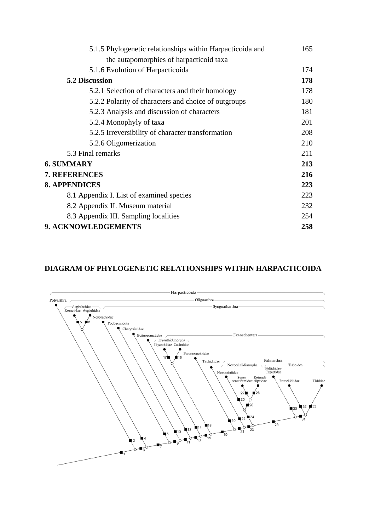| 5.1.5 Phylogenetic relationships within Harpacticoida and | 165 |
|-----------------------------------------------------------|-----|
| the autapomorphies of harpacticoid taxa                   |     |
| 5.1.6 Evolution of Harpacticoida                          | 174 |
| <b>5.2 Discussion</b>                                     | 178 |
| 5.2.1 Selection of characters and their homology          | 178 |
| 5.2.2 Polarity of characters and choice of outgroups      | 180 |
| 5.2.3 Analysis and discussion of characters               | 181 |
| 5.2.4 Monophyly of taxa                                   | 201 |
| 5.2.5 Irreversibility of character transformation         | 208 |
| 5.2.6 Oligomerization                                     | 210 |
| 5.3 Final remarks                                         | 211 |
| <b>6. SUMMARY</b>                                         | 213 |
| 7. REFERENCES                                             | 216 |
| <b>8. APPENDICES</b>                                      | 223 |
| 8.1 Appendix I. List of examined species                  | 223 |
| 8.2 Appendix II. Museum material                          | 232 |
| 8.3 Appendix III. Sampling localities                     | 254 |
| 9. ACKNOWLEDGEMENTS                                       | 258 |

## **DIAGRAM OF PHYLOGENETIC RELATIONSHIPS WITHIN HARPACTICOIDA**

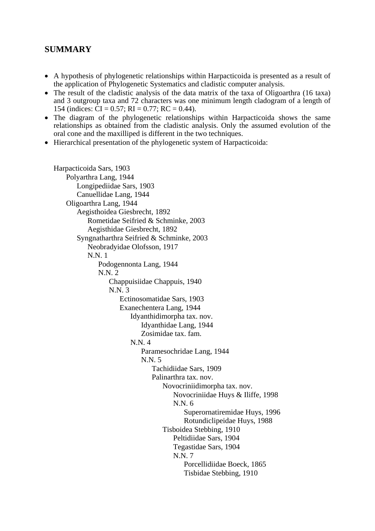## **SUMMARY**

- A hypothesis of phylogenetic relationships within Harpacticoida is presented as a result of the application of Phylogenetic Systematics and cladistic computer analysis.
- The result of the cladistic analysis of the data matrix of the taxa of Oligoarthra (16 taxa) and 3 outgroup taxa and 72 characters was one minimum length cladogram of a length of 154 (indices:  $CI = 0.57$ ; RI = 0.77; RC = 0.44).
- The diagram of the phylogenetic relationships within Harpacticoida shows the same relationships as obtained from the cladistic analysis. Only the assumed evolution of the oral cone and the maxilliped is different in the two techniques.
- Hierarchical presentation of the phylogenetic system of Harpacticoida:

```
Harpacticoida Sars, 1903 
Polyarthra Lang, 1944 
   Longipediidae Sars, 1903 
   Canuellidae Lang, 1944 
Oligoarthra Lang, 1944 
   Aegisthoidea Giesbrecht, 1892 
       Rometidae Seifried & Schminke, 2003 
       Aegisthidae Giesbrecht, 1892 
   Syngnatharthra Seifried & Schminke, 2003 
       Neobradyidae Olofsson, 1917 
       N.N. 1 
           Podogennonta Lang, 1944 
           N.N. 2 
              Chappuisiidae Chappuis, 1940 
              N.N. 3 
                  Ectinosomatidae Sars, 1903 
                  Exanechentera Lang, 1944 
                     Idyanthidimorpha tax. nov. 
                         Idyanthidae Lang, 1944 
                         Zosimidae tax. fam. 
                     N.N. 4 
                         Paramesochridae Lang, 1944 
                        N N 5
                             Tachidiidae Sars, 1909 
                             Palinarthra tax. nov. 
                                 Novocriniidimorpha tax. nov. 
                                    Novocriniidae Huys & Iliffe, 1998 
                                    N.N. 6 
                                        Superornatiremidae Huys, 1996 
                                        Rotundiclipeidae Huys, 1988 
                                 Tisboidea Stebbing, 1910 
                                    Peltidiidae Sars, 1904 
                                    Tegastidae Sars, 1904 
                                    N.N. 7 
                                        Porcellidiidae Boeck, 1865 
                                        Tisbidae Stebbing, 1910
```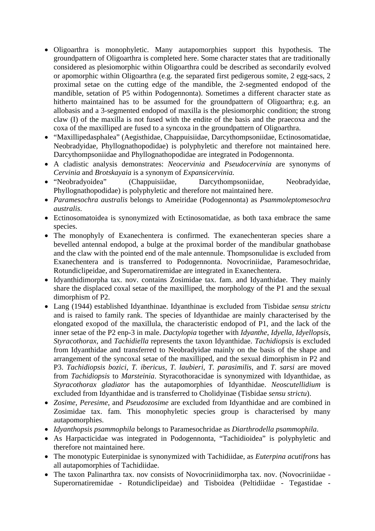- Oligoarthra is monophyletic. Many autapomorphies support this hypothesis. The groundpattern of Oligoarthra is completed here. Some character states that are traditionally considered as plesiomorphic within Oligoarthra could be described as secondarily evolved or apomorphic within Oligoarthra (e.g. the separated first pedigerous somite, 2 egg-sacs, 2 proximal setae on the cutting edge of the mandible, the 2-segmented endopod of the mandible, setation of P5 within Podogennonta). Sometimes a different character state as hitherto maintained has to be assumed for the groundpattern of Oligoarthra; e.g. an allobasis and a 3-segmented endopod of maxilla is the plesiomorphic condition; the strong claw (I) of the maxilla is not fused with the endite of the basis and the praecoxa and the coxa of the maxilliped are fused to a syncoxa in the groundpattern of Oligoarthra.
- "Maxillipedasphalea" (Aegisthidae, Chappuisiidae, Darcythompsoniidae, Ectinosomatidae, Neobradyidae, Phyllognathopodidae) is polyphyletic and therefore not maintained here. Darcythompsoniidae and Phyllognathopodidae are integrated in Podogennonta.
- A cladistic analysis demonstrates: *Neocervinia* and *Pseudocervinia* are synonyms of *Cervinia* and *Brotskayaia* is a synonym of *Expansicervinia.*
- "Neobradyoidea" (Chappuisiidae, Darcythompsoniidae, Neobradyidae, Phyllognathopodidae) is polyphyletic and therefore not maintained here.
- *Paramesochra australis* belongs to Ameiridae (Podogennonta) as *Psammoleptomesochra australis*.
- Ectinosomatoidea is synonymized with Ectinosomatidae, as both taxa embrace the same species.
- The monophyly of Exanechentera is confirmed. The exanechenteran species share a bevelled antennal endopod, a bulge at the proximal border of the mandibular gnathobase and the claw with the pointed end of the male antennule. Thompsonulidae is excluded from Exanechentera and is transferred to Podogennonta. Novocriniidae, Paramesochridae, Rotundiclipeidae, and Superornatiremidae are integrated in Exanechentera.
- Idyanthidimorpha tax. nov. contains Zosimidae tax. fam. and Idyanthidae. They mainly share the displaced coxal setae of the maxilliped, the morphology of the P1 and the sexual dimorphism of P2.
- Lang (1944) established Idyanthinae. Idyanthinae is excluded from Tisbidae *sensu strictu* and is raised to family rank. The species of Idyanthidae are mainly characterised by the elongated exopod of the maxillula, the characteristic endopod of P1, and the lack of the inner setae of the P2 enp-3 in male. *Dactylopia* together with *Idyanthe*, *Idyella*, *Idyellopsis*, *Styracothorax*, and *Tachidiella* represents the taxon Idyanthidae. *Tachidiopsis* is excluded from Idyanthidae and transferred to Neobradyidae mainly on the basis of the shape and arrangement of the syncoxal setae of the maxilliped, and the sexual dimorphism in P2 and P3. *Tachidiopsis bozici*, *T. ibericus*, *T. laubieri*, *T. parasimilis*, and *T. sarsi* are moved from *Tachidiopsis* to *Marsteinia*. Styracothoracidae is synonymized with Idyanthidae, as *Styracothorax gladiator* has the autapomorphies of Idyanthidae. *Neoscutellidium* is excluded from Idyanthidae and is transferred to Cholidyinae (Tisbidae *sensu strictu*).
- *Zosime*, *Peresime*, and *Pseudozosime* are excluded from Idyanthidae and are combined in Zosimidae tax. fam. This monophyletic species group is characterised by many autapomorphies.
- *Idyanthopsis psammophila* belongs to Paramesochridae as *Diarthrodella psammophila*.
- As Harpacticidae was integrated in Podogennonta, "Tachidioidea" is polyphyletic and therefore not maintained here.
- The monotypic Euterpinidae is synonymized with Tachidiidae, as *Euterpina acutifrons* has all autapomorphies of Tachidiidae.
- The taxon Palinarthra tax. nov consists of Novocriniidimorpha tax. nov. (Novocriniidae Superornatiremidae - Rotundiclipeidae) and Tisboidea (Peltidiidae - Tegastidae -